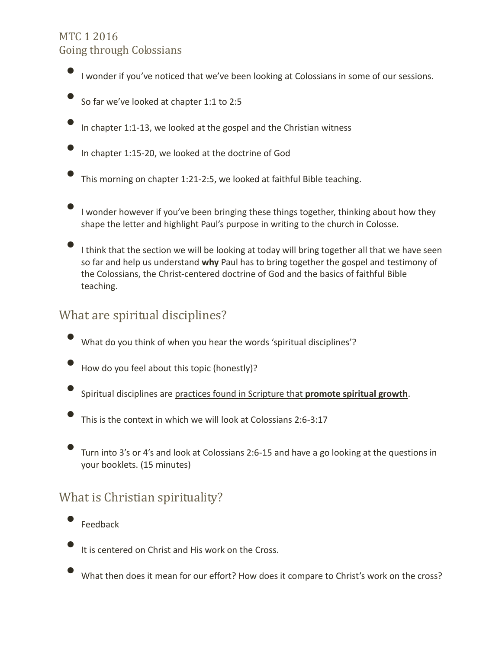### MTC 1 2016 Going through Colossians

- I wonder if you've noticed that we've been looking at Colossians in some of our sessions.
- So far we've looked at chapter 1:1 to 2:5
- In chapter 1:1-13, we looked at the gospel and the Christian witness
- In chapter 1:15-20, we looked at the doctrine of God
- This morning on chapter 1:21-2:5, we looked at faithful Bible teaching.
- I wonder however if you've been bringing these things together, thinking about how they shape the letter and highlight Paul's purpose in writing to the church in Colosse.
	- I think that the section we will be looking at today will bring together all that we have seen so far and help us understand **why** Paul has to bring together the gospel and testimony of the Colossians, the Christ-centered doctrine of God and the basics of faithful Bible teaching.

# What are spiritual disciplines?

- What do you think of when you hear the words 'spiritual disciplines'?
- How do you feel about this topic (honestly)?
- Spiritual disciplines are practices found in Scripture that **promote spiritual growth**.
- This is the context in which we will look at Colossians 2:6-3:17
- Turn into 3's or 4's and look at Colossians 2:6-15 and have a go looking at the questions in your booklets. (15 minutes)

# What is Christian spirituality?

- **Feedback**
- It is centered on Christ and His work on the Cross.
- What then does it mean for our effort? How does it compare to Christ's work on the cross?